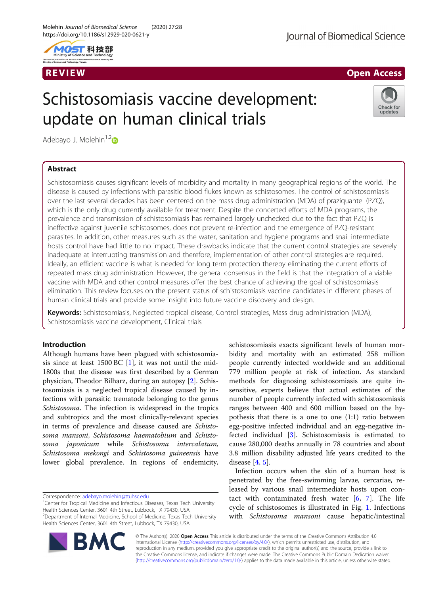



# Schistosomiasis vaccine development: update on human clinical trials



Adebayo J. Molehin $1,2$  $1,2$ 

# Abstract

Schistosomiasis causes significant levels of morbidity and mortality in many geographical regions of the world. The disease is caused by infections with parasitic blood flukes known as schistosomes. The control of schistosomiasis over the last several decades has been centered on the mass drug administration (MDA) of praziquantel (PZQ), which is the only drug currently available for treatment. Despite the concerted efforts of MDA programs, the prevalence and transmission of schistosomiasis has remained largely unchecked due to the fact that PZQ is ineffective against juvenile schistosomes, does not prevent re-infection and the emergence of PZQ-resistant parasites. In addition, other measures such as the water, sanitation and hygiene programs and snail intermediate hosts control have had little to no impact. These drawbacks indicate that the current control strategies are severely inadequate at interrupting transmission and therefore, implementation of other control strategies are required. Ideally, an efficient vaccine is what is needed for long term protection thereby eliminating the current efforts of repeated mass drug administration. However, the general consensus in the field is that the integration of a viable vaccine with MDA and other control measures offer the best chance of achieving the goal of schistosomiasis elimination. This review focuses on the present status of schistosomiasis vaccine candidates in different phases of human clinical trials and provide some insight into future vaccine discovery and design.

Keywords: Schistosomiasis, Neglected tropical disease, Control strategies, Mass drug administration (MDA), Schistosomiasis vaccine development, Clinical trials

# Introduction

Although humans have been plagued with schistosomiasis since at least  $1500$  BC [\[1](#page-5-0)], it was not until the mid-1800s that the disease was first described by a German physician, Theodor Bilharz, during an autopsy [[2\]](#page-5-0). Schistosomiasis is a neglected tropical disease caused by infections with parasitic trematode belonging to the genus Schistosoma. The infection is widespread in the tropics and subtropics and the most clinically-relevant species in terms of prevalence and disease caused are Schistosoma mansoni, Schistosoma haematobium and Schistosoma japonicum while Schistosoma intercalatum, Schistosoma mekongi and Schistosoma guineensis have lower global prevalence. In regions of endemicity,

Correspondence: [adebayo.molehin@ttuhsc.edu](mailto:adebayo.molehin@ttuhsc.edu) <sup>1</sup>

**BM** 

schistosomiasis exacts significant levels of human morbidity and mortality with an estimated 258 million people currently infected worldwide and an additional 779 million people at risk of infection. As standard methods for diagnosing schistosomiasis are quite insensitive, experts believe that actual estimates of the number of people currently infected with schistosomiasis ranges between 400 and 600 million based on the hypothesis that there is a one to one (1:1) ratio between egg-positive infected individual and an egg-negative infected individual [\[3](#page-5-0)]. Schistosomiasis is estimated to cause 280,000 deaths annually in 78 countries and about 3.8 million disability adjusted life years credited to the disease [\[4](#page-5-0), [5](#page-5-0)].

Infection occurs when the skin of a human host is penetrated by the free-swimming larvae, cercariae, released by various snail intermediate hosts upon contact with contaminated fresh water  $[6, 7]$  $[6, 7]$  $[6, 7]$  $[6, 7]$ . The life cycle of schistosomes is illustrated in Fig. [1](#page-1-0). Infections with Schistosoma mansoni cause hepatic/intestinal



<sup>&</sup>lt;sup>1</sup> Center for Tropical Medicine and Infectious Diseases, Texas Tech University Health Sciences Center, 3601 4th Street, Lubbock, TX 79430, USA

<sup>&</sup>lt;sup>2</sup>Department of Internal Medicine, School of Medicine, Texas Tech University Health Sciences Center, 3601 4th Street, Lubbock, TX 79430, USA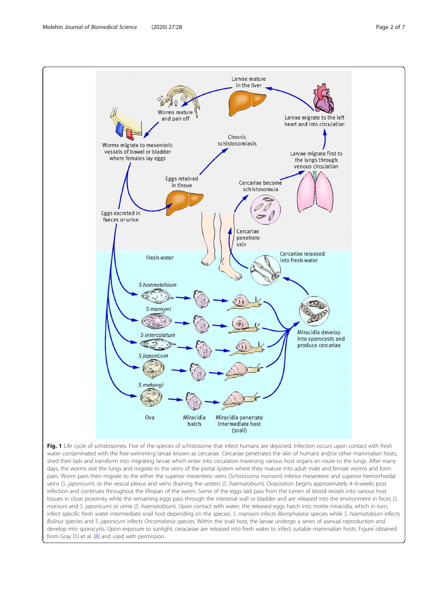<span id="page-1-0"></span>

water contaminated with the free-swimming larvae known as cercariae. Cercariae penetrates the skin of humans and/or other mammalian hosts, shed their tails and transform into migrating larvae which enter into circulation traversing various host organs en route to the lungs. After many days, the worms exit the lungs and migrate to the veins of the portal system where they mature into adult male and female worms and form pairs. Worm pairs then migrate to the either the superior mesenteric veins (Schistosoma mansoni) inferior mesenteric and superior hemorrhoidal veins (S. japonicum), or the vesical plexus and veins draining the ureters (S. haematobium). Oviposition begins approximately 4–6 weeks post infection and continues throughout the lifespan of the worm. Some of the eggs laid pass from the lumen of blood vessels into various host tissues in close proximity while the remaining eggs pass through the intestinal wall or bladder and are released into the environment in feces (S. mansoni and S. japonicum) or urine (S. haematobium). Upon contact with water, the released eggs hatch into motile miracidia, which in turn, infect specific fresh water intermediate snail host depending on the species. S. mansoni infects Biomphalaria species while S. haematobium infects Bulinus species and S. japonicum infects Oncomelania species. Within the snail host, the larvae undergo a series of asexual reproduction and develop into sporocysts. Upon exposure to sunlight, ceracariae are released into fresh water to infect suitable mammalian hosts. Figure obtained from Gray DJ et al. [[8\]](#page-5-0) and used with permission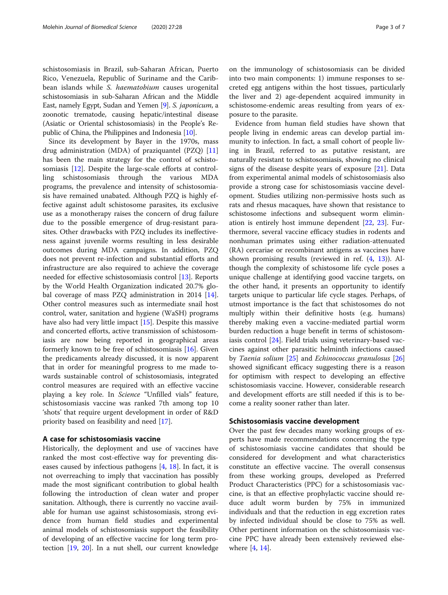schistosomiasis in Brazil, sub-Saharan African, Puerto Rico, Venezuela, Republic of Suriname and the Caribbean islands while S. haematobium causes urogenital schistosomiasis in sub-Saharan African and the Middle East, namely Egypt, Sudan and Yemen [[9](#page-5-0)]. S. japonicum, a zoonotic trematode, causing hepatic/intestinal disease (Asiatic or Oriental schistosomiasis) in the People's Republic of China, the Philippines and Indonesia [[10\]](#page-5-0).

Since its development by Bayer in the 1970s, mass drug administration (MDA) of praziquantel (PZQ) [[11](#page-5-0)] has been the main strategy for the control of schistosomiasis [\[12\]](#page-5-0). Despite the large-scale efforts at controlling schistosomiasis through the various MDA programs, the prevalence and intensity of schistosomiasis have remained unabated. Although PZQ is highly effective against adult schistosome parasites, its exclusive use as a monotherapy raises the concern of drug failure due to the possible emergence of drug-resistant parasites. Other drawbacks with PZQ includes its ineffectiveness against juvenile worms resulting in less desirable outcomes during MDA campaigns. In addition, PZQ does not prevent re-infection and substantial efforts and infrastructure are also required to achieve the coverage needed for effective schistosomiasis control [[13\]](#page-5-0). Reports by the World Health Organization indicated 20.7% global coverage of mass PZQ administration in 2014 [\[14](#page-5-0)]. Other control measures such as intermediate snail host control, water, sanitation and hygiene (WaSH) programs have also had very little impact [[15\]](#page-5-0). Despite this massive and concerted efforts, active transmission of schistosomiasis are now being reported in geographical areas formerly known to be free of schistosomiasis [\[16\]](#page-5-0). Given the predicaments already discussed, it is now apparent that in order for meaningful progress to me made towards sustainable control of schistosomiasis, integrated control measures are required with an effective vaccine playing a key role. In Science "Unfilled vials" feature, schistosomiasis vaccine was ranked 7th among top 10 'shots' that require urgent development in order of R&D priority based on feasibility and need [\[17\]](#page-5-0).

## A case for schistosomiasis vaccine

Historically, the deployment and use of vaccines have ranked the most cost-effective way for preventing diseases caused by infectious pathogens [[4,](#page-5-0) [18\]](#page-5-0). In fact, it is not overreaching to imply that vaccination has possibly made the most significant contribution to global health following the introduction of clean water and proper sanitation. Although, there is currently no vaccine available for human use against schistosomiasis, strong evidence from human field studies and experimental animal models of schistosomiasis support the feasibility of developing of an effective vaccine for long term protection [[19](#page-5-0), [20\]](#page-5-0). In a nut shell, our current knowledge

on the immunology of schistosomiasis can be divided into two main components: 1) immune responses to secreted egg antigens within the host tissues, particularly the liver and 2) age-dependent acquired immunity in schistosome-endemic areas resulting from years of exposure to the parasite.

Evidence from human field studies have shown that people living in endemic areas can develop partial immunity to infection. In fact, a small cohort of people living in Brazil, referred to as putative resistant, are naturally resistant to schistosomiasis, showing no clinical signs of the disease despite years of exposure [[21\]](#page-6-0). Data from experimental animal models of schistosomiasis also provide a strong case for schistosomiasis vaccine development. Studies utilizing non-permissive hosts such as rats and rhesus macaques, have shown that resistance to schistosome infections and subsequent worm elimination is entirely host immune dependent [\[22](#page-6-0), [23](#page-6-0)]. Furthermore, several vaccine efficacy studies in rodents and nonhuman primates using either radiation-attenuated (RA) cercariae or recombinant antigens as vaccines have shown promising results (reviewed in ref. ([4,](#page-5-0) [13](#page-5-0))). Although the complexity of schistosome life cycle poses a unique challenge at identifying good vaccine targets, on the other hand, it presents an opportunity to identify targets unique to particular life cycle stages. Perhaps, of utmost importance is the fact that schistosomes do not multiply within their definitive hosts (e.g. humans) thereby making even a vaccine-mediated partial worm burden reduction a huge benefit in terms of schistosomiasis control [\[24\]](#page-6-0). Field trials using veterinary-based vaccines against other parasitic helminth infections caused by Taenia solium [[25\]](#page-6-0) and Echinococcus granulosus [[26](#page-6-0)] showed significant efficacy suggesting there is a reason for optimism with respect to developing an effective schistosomiasis vaccine. However, considerable research and development efforts are still needed if this is to become a reality sooner rather than later.

## Schistosomiasis vaccine development

Over the past few decades many working groups of experts have made recommendations concerning the type of schistosomiasis vaccine candidates that should be considered for development and what characteristics constitute an effective vaccine. The overall consensus from these working groups, developed as Preferred Product Characteristics (PPC) for a schistosomiasis vaccine, is that an effective prophylactic vaccine should reduce adult worm burden by 75% in immunized individuals and that the reduction in egg excretion rates by infected individual should be close to 75% as well. Other pertinent information on the schistosomiasis vaccine PPC have already been extensively reviewed elsewhere [\[4](#page-5-0), [14](#page-5-0)].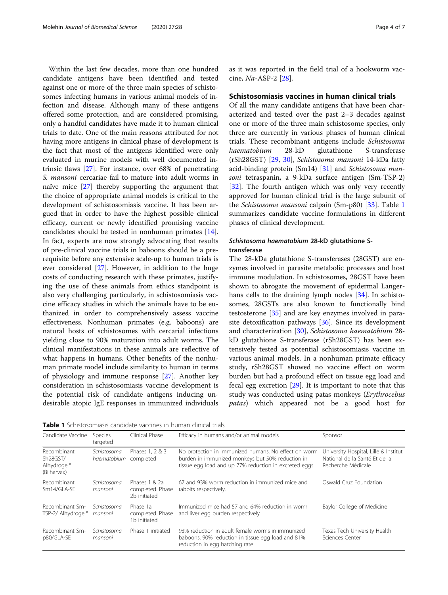Within the last few decades, more than one hundred candidate antigens have been identified and tested against one or more of the three main species of schistosomes infecting humans in various animal models of infection and disease. Although many of these antigens offered some protection, and are considered promising, only a handful candidates have made it to human clinical trials to date. One of the main reasons attributed for not having more antigens in clinical phase of development is the fact that most of the antigens identified were only evaluated in murine models with well documented intrinsic flaws [[27](#page-6-0)]. For instance, over 68% of penetrating S. mansoni cercariae fail to mature into adult worms in naïve mice [\[27](#page-6-0)] thereby supporting the argument that the choice of appropriate animal models is critical to the development of schistosomiasis vaccine. It has been argued that in order to have the highest possible clinical efficacy, current or newly identified promising vaccine candidates should be tested in nonhuman primates [\[14](#page-5-0)]. In fact, experts are now strongly advocating that results of pre-clinical vaccine trials in baboons should be a prerequisite before any extensive scale-up to human trials is ever considered [\[27](#page-6-0)]. However, in addition to the huge costs of conducting research with these primates, justifying the use of these animals from ethics standpoint is also very challenging particularly, in schistosomiasis vaccine efficacy studies in which the animals have to be euthanized in order to comprehensively assess vaccine effectiveness. Nonhuman primates (e.g. baboons) are natural hosts of schistosomes with cercarial infections yielding close to 90% maturation into adult worms. The clinical manifestations in these animals are reflective of what happens in humans. Other benefits of the nonhuman primate model include similarity to human in terms of physiology and immune response [[27](#page-6-0)]. Another key consideration in schistosomiasis vaccine development is the potential risk of candidate antigens inducing undesirable atopic IgE responses in immunized individuals as it was reported in the field trial of a hookworm vaccine, Na-ASP-2 [[28](#page-6-0)].

## Schistosomiasis vaccines in human clinical trials

Of all the many candidate antigens that have been characterized and tested over the past 2–3 decades against one or more of the three main schistosome species, only three are currently in various phases of human clinical trials. These recombinant antigens include *Schistosoma*<br>haematobium 28-kD glutathione S-transferase haematobium 28-kD glutathione S-transferase<br>GSb28GST) [29-30] Schistosoma-mansoni 14-kD2-f2tty (rSh28GST) [[29](#page-6-0), [30](#page-6-0)], Schistosoma mansoni 14-kDa fatty acid-binding protein (Sm14) [[31](#page-6-0)] and Schistosoma mansoni tetraspanin, a 9-kDa surface antigen (Sm-TSP-2) [[32\]](#page-6-0). The fourth antigen which was only very recently approved for human clinical trial is the large subunit of the Schistosoma mansoni calpain (Sm-p80) [[33\]](#page-6-0). Table 1 summarizes candidate vaccine formulations in different phases of clinical development.

# Schistosoma haematobium 28-kD glutathione Stransferase

The 28-kDa glutathione S-transferases (28GST) are enzymes involved in parasite metabolic processes and host immune modulation. In schistosomes, 28GST have been shown to abrogate the movement of epidermal Langer-hans cells to the draining lymph nodes [[34](#page-6-0)]. In schistosomes, 28GSTs are also known to functionally bind testosterone [\[35\]](#page-6-0) and are key enzymes involved in parasite detoxification pathways [\[36](#page-6-0)]. Since its development and characterization [[30](#page-6-0)], Schistosoma haematobium 28 kD glutathione S-transferase (rSh28GST) has been extensively tested as potential schistosomiasis vaccine in various animal models. In a nonhuman primate efficacy study, rSh28GST showed no vaccine effect on worm burden but had a profound effect on tissue egg load and fecal egg excretion [[29](#page-6-0)]. It is important to note that this study was conducted using patas monkeys (Erythrocebus patas) which appeared not be a good host for

Table 1 Schistosomiasis candidate vaccines in human clinical trials

| Candidate Vaccine                                                              | Species<br>targeted                  | Clinical Phase                                    | Efficacy in humans and/or animal models                                                                                                                           | Sponsor                                                                                      |
|--------------------------------------------------------------------------------|--------------------------------------|---------------------------------------------------|-------------------------------------------------------------------------------------------------------------------------------------------------------------------|----------------------------------------------------------------------------------------------|
| Recombinant<br>Sh <sub>28</sub> GST/<br>Alhydrogel <sup>®</sup><br>(Bilharvax) | Schistosoma<br>haematobium completed | Phases 1, 2 & 3                                   | No protection in immunized humans. No effect on worm<br>burden in immunized monkeys but 50% reduction in<br>tissue egg load and up 77% reduction in excreted eggs | University Hospital, Lille & Institut<br>National de la Santé Et de la<br>Recherche Médicale |
| Recombinant<br>Sm14/GLA-SE                                                     | Schistosoma<br>mansoni               | Phases 1 & 2a<br>completed. Phase<br>2b initiated | 67 and 93% worm reduction in immunized mice and<br>rabbits respectively.                                                                                          | Oswald Cruz Foundation                                                                       |
| Recombinant Sm-<br>TSP-2/ Alhydrogel®                                          | Schistosoma<br>mansoni               | Phase 1a<br>completed. Phase<br>1b initiated      | Immunized mice had 57 and 64% reduction in worm<br>and liver egg burden respectively                                                                              | Baylor College of Medicine                                                                   |
| Recombinant Sm-<br>p80/GLA-SE                                                  | Schistosoma<br>mansoni               | Phase 1 initiated                                 | 93% reduction in adult female worms in immunized<br>baboons. 90% reduction in tissue egg load and 81%<br>reduction in egg hatching rate                           | Texas Tech University Health<br>Sciences Center                                              |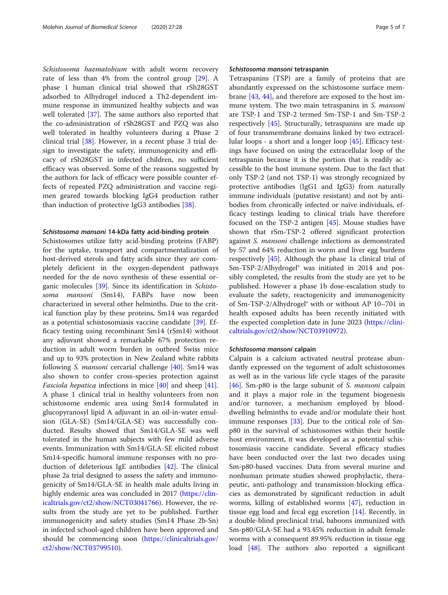Schistosoma haematobium with adult worm recovery rate of less than 4% from the control group [\[29\]](#page-6-0). A phase 1 human clinical trial showed that rSh28GST adsorbed to Alhydrogel induced a Th2-dependent immune response in immunized healthy subjects and was well tolerated [\[37](#page-6-0)]. The same authors also reported that the co-administration of rSh28GST and PZQ was also well tolerated in healthy volunteers during a Phase 2 clinical trial [\[38](#page-6-0)]. However, in a recent phase 3 trial design to investigate the safety, immunogenicity and efficacy of rSh28GST in infected children, no sufficient efficacy was observed. Some of the reasons suggested by the authors for lack of efficacy were possible counter effects of repeated PZQ administration and vaccine regimen geared towards blocking IgG4 production rather than induction of protective IgG3 antibodies [\[38](#page-6-0)].

## Schistosoma mansoni 14-kDa fatty acid-binding protein

Schistosomes utilize fatty acid-binding proteins (FABP) for the uptake, transport and compartmentalization of host-derived sterols and fatty acids since they are completely deficient in the oxygen-dependent pathways needed for the de novo synthesis of these essential organic molecules [\[39](#page-6-0)]. Since its identification in Schistosoma mansoni (Sm14), FABPs have now been characterized in several other helminths. Due to the critical function play by these proteins, Sm14 was regarded as a potential schistosomiasis vaccine candidate [\[39\]](#page-6-0). Efficacy testing using recombinant Sm14 (rSm14) without any adjuvant showed a remarkable 67% protection reduction in adult worm burden in outbred Swiss mice and up to 93% protection in New Zealand white rabbits following S. *mansoni* cercarial challenge [\[40\]](#page-6-0). Sm14 was also shown to confer cross-species protection against Fasciola hepatica infections in mice [\[40](#page-6-0)] and sheep [\[41](#page-6-0)]. A phase 1 clinical trial in healthy volunteers from non schistosome endemic area using Sm14 formulated in glucopyranosyl lipid A adjuvant in an oil-in-water emulsion (GLA-SE) (Sm14/GLA-SE) was successfully conducted. Results showed that Sm14/GLA-SE was well tolerated in the human subjects with few mild adverse events. Immunization with Sm14/GLA-SE elicited robust Sm14-specific humoral immune responses with no production of deleterious IgE antibodies [\[42](#page-6-0)]. The clinical phase 2a trial designed to assess the safety and immunogenicity of Sm14/GLA-SE in health male adults living in highly endemic area was concluded in 2017 [\(https://clin](https://clinicaltrials.gov/ct2/show/NCT03041766)[icaltrials.gov/ct2/show/NCT03041766](https://clinicaltrials.gov/ct2/show/NCT03041766)). However, the results from the study are yet to be published. Further immunogenicity and safety studies (Sm14 Phase 2b-Sn) in infected school-aged children have been approved and should be commencing soon ([https://clinicaltrials.gov/](https://clinicaltrials.gov/ct2/show/NCT03799510) [ct2/show/NCT03799510](https://clinicaltrials.gov/ct2/show/NCT03799510)).

## Schistosoma mansoni tetraspanin

Tetraspanins (TSP) are a family of proteins that are abundantly expressed on the schistosome surface membrane [[43,](#page-6-0) [44\]](#page-6-0), and therefore are exposed to the host immune system. The two main tetraspanins in S. mansoni are TSP-1 and TSP-2 termed Sm-TSP-1 and Sm-TSP-2 respectively [\[45](#page-6-0)]. Structurally, tetraspanins are made up of four transmembrane domains linked by two extracellular loops - a short and a longer loop [[45\]](#page-6-0). Efficacy testings have focused on using the extracellular loop of the tetraspanin because it is the portion that is readily accessible to the host immune system. Due to the fact that only TSP-2 (and not TSP-1) was strongly recognized by protective antibodies (IgG1 and IgG3) from naturally immune individuals (putative resistant) and not by antibodies from chronically infected or naïve individuals, efficacy testings leading to clinical trials have therefore focused on the TSP-2 antigen [\[45](#page-6-0)]. Mouse studies have shown that rSm-TSP-2 offered significant protection against S. mansoni challenge infections as demonstrated by 57 and 64% reduction in worm and liver egg burdens respectively [\[45](#page-6-0)]. Although the phase 1a clinical trial of Sm-TSP-2/Alhydrogel® was initiated in 2014 and possibly completed, the results from the study are yet to be published. However a phase 1b dose-escalation study to evaluate the safety, reactogenicity and immunogenicity of Sm-TSP-2/Alhydrogel® with or without AP 10–701 in health exposed adults has been recently initiated with the expected completion date in June 2023 ([https://clini](https://clinicaltrials.gov/ct2/show/NCT03910972)[caltrials.gov/ct2/show/NCT03910972\)](https://clinicaltrials.gov/ct2/show/NCT03910972).

## Schistosoma mansoni calpain

Calpain is a calcium activated neutral protease abundantly expressed on the tegument of adult schistosomes as well as in the various life cycle stages of the parasite [[46\]](#page-6-0). Sm-p80 is the large subunit of S. mansoni calpain and it plays a major role in the tegument biogenesis and/or turnover, a mechanism employed by blooddwelling helminths to evade and/or modulate their host immune responses [\[33](#page-6-0)]. Due to the critical role of Smp80 in the survival of schistosomes within their hostile host environment, it was developed as a potential schistosomiasis vaccine candidate. Several efficacy studies have been conducted over the last two decades using Sm-p80-based vaccines. Data from several murine and nonhuman primate studies showed prophylactic, therapeutic, anti-pathology and transmission-blocking efficacies as demonstrated by significant reduction in adult worms, killing of established worms [[47\]](#page-6-0), reduction in tissue egg load and fecal egg excretion [[14](#page-5-0)]. Recently, in a double-blind preclinical trial, baboons immunized with Sm-p80/GLA-SE had a 93.45% reduction in adult female worms with a consequent 89.95% reduction in tissue egg load [[48\]](#page-6-0). The authors also reported a significant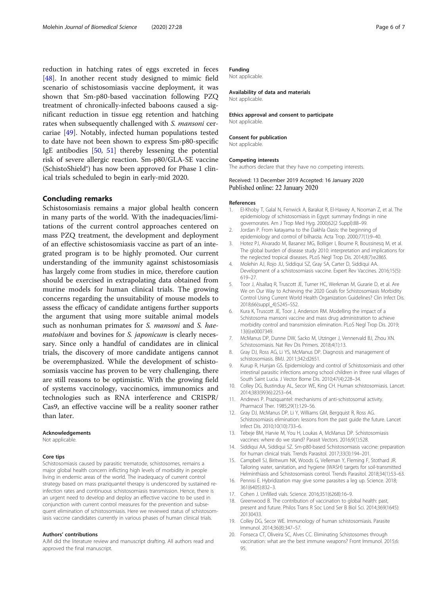<span id="page-5-0"></span>reduction in hatching rates of eggs excreted in feces [[48\]](#page-6-0). In another recent study designed to mimic field scenario of schistosomiasis vaccine deployment, it was shown that Sm-p80-based vaccination following PZQ treatment of chronically-infected baboons caused a significant reduction in tissue egg retention and hatching rates when subsequently challenged with S. mansoni cercariae [[49\]](#page-6-0). Notably, infected human populations tested to date have not been shown to express Sm-p80-specific IgE antibodies [[50,](#page-6-0) [51](#page-6-0)] thereby lessening the potential risk of severe allergic reaction. Sm-p80/GLA-SE vaccine (SchistoShield®) has now been approved for Phase 1 clinical trials scheduled to begin in early-mid 2020.

## Concluding remarks

Schistosomiasis remains a major global health concern in many parts of the world. With the inadequacies/limitations of the current control approaches centered on mass PZQ treatment, the development and deployment of an effective schistosomiasis vaccine as part of an integrated program is to be highly promoted. Our current understanding of the immunity against schistosomiasis has largely come from studies in mice, therefore caution should be exercised in extrapolating data obtained from murine models for human clinical trials. The growing concerns regarding the unsuitability of mouse models to assess the efficacy of candidate antigens further supports the argument that using more suitable animal models such as nonhuman primates for S. mansoni and S. haematobium and bovines for *S. japonicum* is clearly necessary. Since only a handful of candidates are in clinical trials, the discovery of more candidate antigens cannot be overemphasized. While the development of schistosomiasis vaccine has proven to be very challenging, there are still reasons to be optimistic. With the growing field of systems vaccinology, vaccinomics, immunomics and technologies such as RNA interference and CRISPR/ Cas9, an effective vaccine will be a reality sooner rather than later.

#### Acknowledgements

Not applicable.

#### Core tips

Schistosomiasis caused by parasitic trematode, schistosomes, remains a major global health concern inflicting high levels of morbidity in people living in endemic areas of the world. The inadequacy of current control strategy based on mass praziquantel therapy is underscored by sustained reinfection rates and continuous schistosomiasis transmission. Hence, there is an urgent need to develop and deploy an effective vaccine to be used in conjunction with current control measures for the prevention and subsequent elimination of schistosomiasis. Here we reviewed status of schistosomiasis vaccine candidates currently in various phases of human clinical trials.

#### Authors' contributions

AJM did the literature review and manuscript drafting. All authors read and approved the final manuscript.

## Funding

Not applicable.

Availability of data and materials Not applicable

Ethics approval and consent to participate Not applicable.

# Consent for publication

Not applicable.

## Competing interests

The authors declare that they have no competing interests.

## Received: 13 December 2019 Accepted: 16 January 2020 Published online: 22 January 2020

#### References

- 1. El-Khoby T, Galal N, Fenwick A, Barakat R, El-Hawey A, Nooman Z, et al. The epidemiology of schistosomiasis in Egypt: summary findings in nine governorates. Am J Trop Med Hyg. 2000;62(2 Suppl):88–99.
- 2. Jordan P. From katayama to the Dakhla Oasis: the beginning of epidemiology and control of bilharzia. Acta Trop. 2000;77(1):9–40.
- 3. Hotez PJ, Alvarado M, Basanez MG, Bolliger I, Bourne R, Boussinesq M, et al. The global burden of disease study 2010: interpretation and implications for the neglected tropical diseases. PLoS Negl Trop Dis. 2014;8(7):e2865.
- 4. Molehin AJ, Rojo JU, Siddiqui SZ, Gray SA, Carter D, Siddiqui AA. Development of a schistosomiasis vaccine. Expert Rev Vaccines. 2016;15(5): 619–27.
- 5. Toor J, Alsallaq R, Truscott JE, Turner HC, Werkman M, Gurarie D, et al. Are We on Our Way to Achieving the 2020 Goals for Schistosomiasis Morbidity Control Using Current World Health Organization Guidelines? Clin Infect Dis. 2018;66(suppl\_4):S245–S52.
- 6. Kura K, Truscott JE, Toor J, Anderson RM. Modelling the impact of a Schistosoma mansoni vaccine and mass drug administration to achieve morbidity control and transmission elimination. PLoS Negl Trop Dis. 2019; 13(6):e0007349.
- 7. McManus DP, Dunne DW, Sacko M, Utzinger J, Vennervald BJ, Zhou XN. Schistosomiasis. Nat Rev Dis Primers. 2018;4(1):13.
- 8. Gray DJ, Ross AG, Li YS, McManus DP. Diagnosis and management of schistosomiasis. BMJ. 2011;342:d2651.
- 9. Kurup R, Hunjan GS. Epidemiology and control of Schistosomiasis and other intestinal parasitic infections among school children in three rural villages of South Saint Lucia. J Vector Borne Dis. 2010;47(4):228–34.
- 10. Colley DG, Bustinduy AL, Secor WE, King CH. Human schistosomiasis. Lancet. 2014;383(9936):2253–64.
- 11. Andrews P. Praziquantel: mechanisms of anti-schistosomal activity. Pharmacol Ther. 1985;29(1):129–56.
- 12. Gray DJ, McManus DP, Li Y, Williams GM, Bergquist R, Ross AG. Schistosomiasis elimination: lessons from the past guide the future. Lancet Infect Dis. 2010;10(10):733–6.
- 13. Tebeje BM, Harvie M, You H, Loukas A, McManus DP. Schistosomiasis vaccines: where do we stand? Parasit Vectors. 2016;9(1):528.
- 14. Siddiqui AA, Siddiqui SZ. Sm-p80-based Schistosomiasis vaccine: preparation for human clinical trials. Trends Parasitol. 2017;33(3):194–201.
- 15. Campbell SJ, Biritwum NK, Woods G, Velleman Y, Fleming F, Stothard JR. Tailoring water, sanitation, and hygiene (WASH) targets for soil-transmitted Helminthiasis and Schistosomiasis control. Trends Parasitol. 2018;34(1):53–63.
- 16. Pennisi E. Hybridization may give some parasites a leg up. Science. 2018; 361(6405):832–3.
- 17. Cohen J. Unfilled vials. Science. 2016;351(6268):16–9.
- 18. Greenwood B. The contribution of vaccination to global health: past, present and future. Philos Trans R Soc Lond Ser B Biol Sci. 2014;369(1645): 20130433.
- 19. Colley DG, Secor WE. Immunology of human schistosomiasis. Parasite Immunol. 2014;36(8):347–57.
- 20. Fonseca CT, Oliveira SC, Alves CC. Eliminating Schistosomes through vaccination: what are the best immune weapons? Front Immunol. 2015;6: 95.